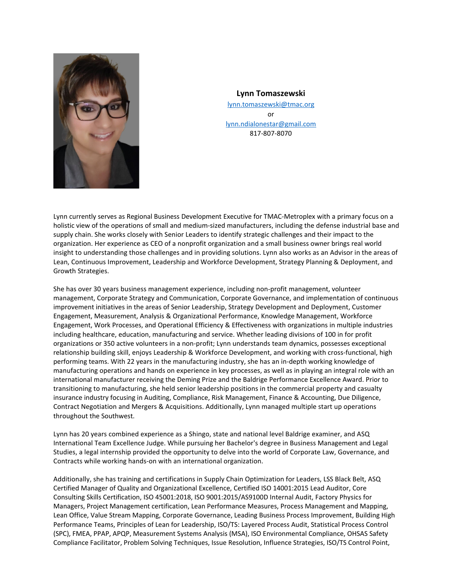

## **Lynn Tomaszewski** [lynn.tomaszewski@tmac.org](mailto:lynn.tomaszewski@tmac.org)

or [lynn.ndialonestar@gmail.com](mailto:lynn.ndialonestar@gmail.com) 817-807-8070

Lynn currently serves as Regional Business Development Executive for TMAC-Metroplex with a primary focus on a holistic view of the operations of small and medium-sized manufacturers, including the defense industrial base and supply chain. She works closely with Senior Leaders to identify strategic challenges and their impact to the organization. Her experience as CEO of a nonprofit organization and a small business owner brings real world insight to understanding those challenges and in providing solutions. Lynn also works as an Advisor in the areas of Lean, Continuous Improvement, Leadership and Workforce Development, Strategy Planning & Deployment, and Growth Strategies.

She has over 30 years business management experience, including non-profit management, volunteer management, Corporate Strategy and Communication, Corporate Governance, and implementation of continuous improvement initiatives in the areas of Senior Leadership, Strategy Development and Deployment, Customer Engagement, Measurement, Analysis & Organizational Performance, Knowledge Management, Workforce Engagement, Work Processes, and Operational Efficiency & Effectiveness with organizations in multiple industries including healthcare, education, manufacturing and service. Whether leading divisions of 100 in for profit organizations or 350 active volunteers in a non-profit; Lynn understands team dynamics, possesses exceptional relationship building skill, enjoys Leadership & Workforce Development, and working with cross-functional, high performing teams. With 22 years in the manufacturing industry, she has an in-depth working knowledge of manufacturing operations and hands on experience in key processes, as well as in playing an integral role with an international manufacturer receiving the Deming Prize and the Baldrige Performance Excellence Award. Prior to transitioning to manufacturing, she held senior leadership positions in the commercial property and casualty insurance industry focusing in Auditing, Compliance, Risk Management, Finance & Accounting, Due Diligence, Contract Negotiation and Mergers & Acquisitions. Additionally, Lynn managed multiple start up operations throughout the Southwest.

Lynn has 20 years combined experience as a Shingo, state and national level Baldrige examiner, and ASQ International Team Excellence Judge. While pursuing her Bachelor's degree in Business Management and Legal Studies, a legal internship provided the opportunity to delve into the world of Corporate Law, Governance, and Contracts while working hands-on with an international organization.

Additionally, she has training and certifications in Supply Chain Optimization for Leaders, LSS Black Belt, ASQ Certified Manager of Quality and Organizational Excellence, Certified ISO 14001:2015 Lead Auditor, Core Consulting Skills Certification, ISO 45001:2018, ISO 9001:2015/AS9100D Internal Audit, Factory Physics for Managers, Project Management certification, Lean Performance Measures, Process Management and Mapping, Lean Office, Value Stream Mapping, Corporate Governance, Leading Business Process Improvement, Building High Performance Teams, Principles of Lean for Leadership, ISO/TS: Layered Process Audit, Statistical Process Control (SPC), FMEA, PPAP, APQP, Measurement Systems Analysis (MSA), ISO Environmental Compliance, OHSAS Safety Compliance Facilitator, Problem Solving Techniques, Issue Resolution, Influence Strategies, ISO/TS Control Point,